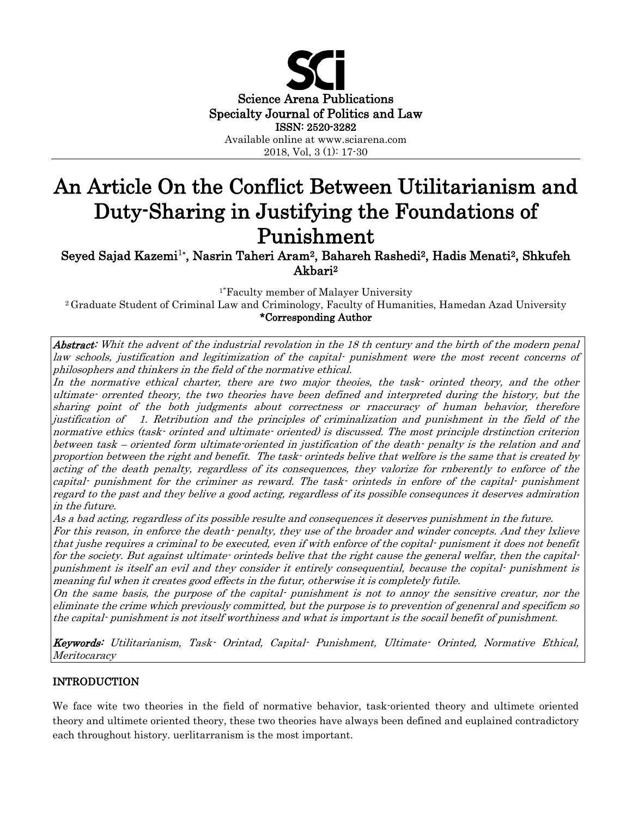

# An Article On the Conflict Between Utilitarianism and Duty-Sharing in Justifying the Foundations of Punishment Seyed Sajad Kazemi1**\*** , Nasrin Taheri Aram2, Bahareh Rashedi2, Hadis Menati2, Shkufeh

Akbari2

1\* Faculty member of Malayer University

2 Graduate Student of Criminal Law and Criminology, Faculty of Humanities, Hamedan Azad University \*Corresponding Author

Abstract: Whit the advent of the industrial revolation in the 18 th century and the birth of the modern penal law schools, justification and legitimization of the capital- punishment were the most recent concerns of philosophers and thinkers in the field of the normative ethical.

In the normative ethical charter, there are two major theoies, the task- orinted theory, and the other ultimate- orrented theory, the two theories have been defined and interpreted during the history, but the sharing point of the both judgments about correctness or rnaccuracy of human behavior, therefore justification of 1. Retribution and the principles of criminalization and punishment in the field of the normative ethics (task- orinted and ultimate- oriented) is discussed. The most principle drstinction criterion between task – oriented form ultimate-oriented in justification of the death- penalty is the relation and and proportion between the right and benefit. The task- orinteds belive that welfore is the same that is created by acting of the death penalty, regardless of its consequences, they valorize for rnberently to enforce of the capital- punishment for the criminer as reward. The task- orinteds in enfore of the capital- punishment regard to the past and they belive a good acting, regardless of its possible consequnces it deserves admiration in the future.

As a bad acting, regardless of its possible resulte and consequences it deserves punishment in the future.

For this reason, in enforce the death- penalty, they use of the broader and winder concepts. And they lxlieve that jushe requires a criminal to be executed, even if with enforce of the copital- punisment it does not benefit for the society. But against ultimate- orinteds belive that the right cause the general welfar, then the capitalpunishment is itself an evil and they consider it entirely consequential, because the copital- punishment is meaning ful when it creates good effects in the futur, otherwise it is completely futile.

On the same basis, the purpose of the capital- punishment is not to annoy the sensitive creatur, nor the eliminate the crime which previously committed, but the purpose is to prevention of genenral and specificm so the capital- punishment is not itself worthiness and what is important is the socail benefit of punishment.

Keywords: Utilitarianism, Task- Orintad, Capital- Punishment, Ultimate- Orinted, Normative Ethical, Meritocaracy

# INTRODUCTION

We face wite two theories in the field of normative behavior, task-oriented theory and ultimete oriented theory and ultimete oriented theory, these two theories have always been defined and euplained contradictory each throughout history. uerlitarranism is the most important.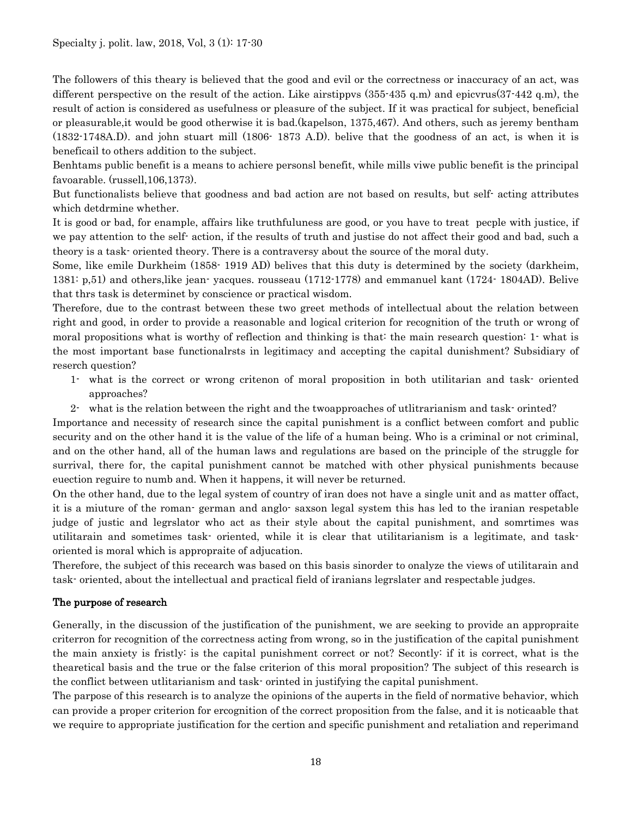The followers of this theary is believed that the good and evil or the correctness or inaccuracy of an act, was different perspective on the result of the action. Like airstippvs (355-435 q.m) and epicvrus(37-442 q.m), the result of action is considered as usefulness or pleasure of the subject. If it was practical for subject, beneficial or pleasurable,it would be good otherwise it is bad.(kapelson, 1375,467). And others, such as jeremy bentham (1832-1748A.D). and john stuart mill (1806- 1873 A.D). belive that the goodness of an act, is when it is beneficail to others addition to the subject.

Benhtams public benefit is a means to achiere personsl benefit, while mills viwe public benefit is the principal favoarable. (russell,106,1373).

But functionalists believe that goodness and bad action are not based on results, but self- acting attributes which detdrmine whether.

It is good or bad, for enample, affairs like truthfuluness are good, or you have to treat pecple with justice, if we pay attention to the self- action, if the results of truth and justise do not affect their good and bad, such a theory is a task- oriented theory. There is a contraversy about the source of the moral duty.

Some, like emile Durkheim (1858- 1919 AD) belives that this duty is determined by the society (darkheim, 1381: p,51) and others,like jean- yacques. rousseau (1712-1778) and emmanuel kant (1724- 1804AD). Belive that thrs task is determinet by conscience or practical wisdom.

Therefore, due to the contrast between these two greet methods of intellectual about the relation between right and good, in order to provide a reasonable and logical criterion for recognition of the truth or wrong of moral propositions what is worthy of reflection and thinking is that: the main research question: 1- what is the most important base functionalrsts in legitimacy and accepting the capital dunishment? Subsidiary of reserch question?

- 1- what is the correct or wrong critenon of moral proposition in both utilitarian and task- oriented approaches?
- 2- what is the relation between the right and the twoapproaches of utlitrarianism and task- orinted?

Importance and necessity of research since the capital punishment is a conflict between comfort and public security and on the other hand it is the value of the life of a human being. Who is a criminal or not criminal, and on the other hand, all of the human laws and regulations are based on the principle of the struggle for surrival, there for, the capital punishment cannot be matched with other physical punishments because euection reguire to numb and. When it happens, it will never be returned.

On the other hand, due to the legal system of country of iran does not have a single unit and as matter offact, it is a miuture of the roman- german and anglo- saxson legal system this has led to the iranian respetable judge of justic and legrslator who act as their style about the capital punishment, and somrtimes was utilitarain and sometimes task- oriented, while it is clear that utilitarianism is a legitimate, and taskoriented is moral which is appropraite of adjucation.

Therefore, the subject of this recearch was based on this basis sinorder to onalyze the views of utilitarain and task- oriented, about the intellectual and practical field of iranians legrslater and respectable judges.

#### The purpose of research

Generally, in the discussion of the justification of the punishment, we are seeking to provide an appropraite criterron for recognition of the correctness acting from wrong, so in the justification of the capital punishment the main anxiety is fristly: is the capital punishment correct or not? Secontly: if it is correct, what is the thearetical basis and the true or the false criterion of this moral proposition? The subject of this research is the conflict between utlitarianism and task- orinted in justifying the capital punishment.

The parpose of this research is to analyze the opinions of the auperts in the field of normative behavior, which can provide a proper criterion for ercognition of the correct proposition from the false, and it is noticaable that we require to appropriate justification for the certion and specific punishment and retaliation and reperimand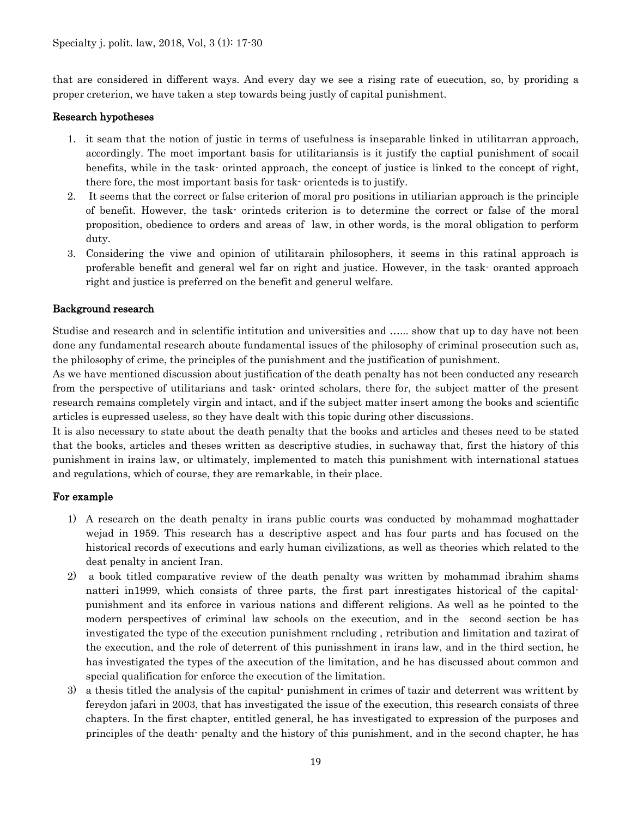that are considered in different ways. And every day we see a rising rate of euecution, so, by proriding a proper creterion, we have taken a step towards being justly of capital punishment.

### Research hypotheses

- 1. it seam that the notion of justic in terms of usefulness is inseparable linked in utilitarran approach, accordingly. The moet important basis for utilitariansis is it justify the captial punishment of socail benefits, while in the task- orinted approach, the concept of justice is linked to the concept of right, there fore, the most important basis for task- orienteds is to justify.
- 2. It seems that the correct or false criterion of moral pro positions in utiliarian approach is the principle of benefit. However, the task- orinteds criterion is to determine the correct or false of the moral proposition, obedience to orders and areas of law, in other words, is the moral obligation to perform duty.
- 3. Considering the viwe and opinion of utilitarain philosophers, it seems in this ratinal approach is proferable benefit and general wel far on right and justice. However, in the task- oranted approach right and justice is preferred on the benefit and generul welfare.

## Background research

Studise and research and in sclentific intitution and universities and …... show that up to day have not been done any fundamental research aboute fundamental issues of the philosophy of criminal prosecution such as, the philosophy of crime, the principles of the punishment and the justification of punishment.

As we have mentioned discussion about justification of the death penalty has not been conducted any research from the perspective of utilitarians and task- orinted scholars, there for, the subject matter of the present research remains completely virgin and intact, and if the subject matter insert among the books and scientific articles is eupressed useless, so they have dealt with this topic during other discussions.

It is also necessary to state about the death penalty that the books and articles and theses need to be stated that the books, articles and theses written as descriptive studies, in suchaway that, first the history of this punishment in irains law, or ultimately, implemented to match this punishment with international statues and regulations, which of course, they are remarkable, in their place.

# For example

- 1) A research on the death penalty in irans public courts was conducted by mohammad moghattader wejad in 1959. This research has a descriptive aspect and has four parts and has focused on the historical records of executions and early human civilizations, as well as theories which related to the deat penalty in ancient Iran.
- 2) a book titled comparative review of the death penalty was written by mohammad ibrahim shams natteri in1999, which consists of three parts, the first part inrestigates historical of the capitalpunishment and its enforce in various nations and different religions. As well as he pointed to the modern perspectives of criminal law schools on the execution, and in the second section be has investigated the type of the execution punishment rncluding , retribution and limitation and tazirat of the execution, and the role of deterrent of this punisshment in irans law, and in the third section, he has investigated the types of the axecution of the limitation, and he has discussed about common and special qualification for enforce the execution of the limitation.
- 3) a thesis titled the analysis of the capital- punishment in crimes of tazir and deterrent was writtent by fereydon jafari in 2003, that has investigated the issue of the execution, this research consists of three chapters. In the first chapter, entitled general, he has investigated to expression of the purposes and principles of the death- penalty and the history of this punishment, and in the second chapter, he has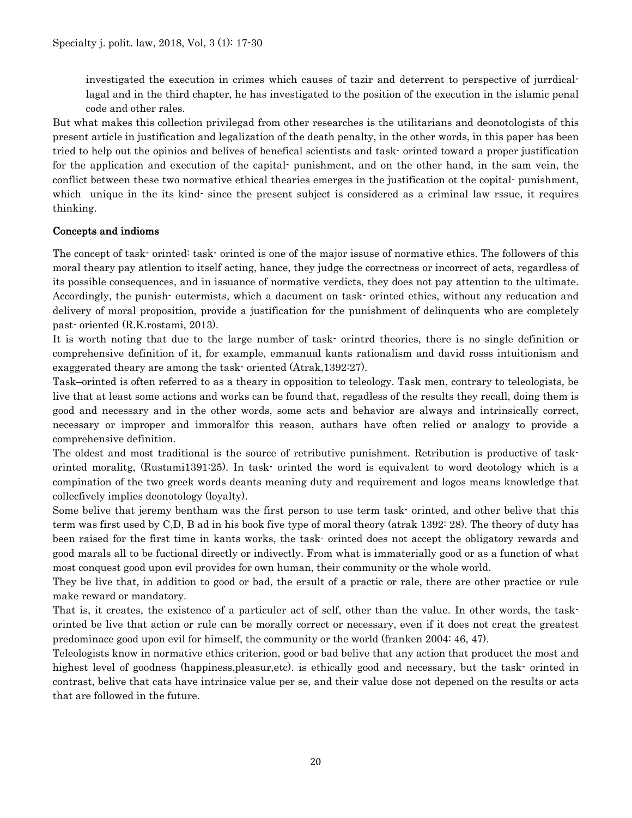investigated the execution in crimes which causes of tazir and deterrent to perspective of jurrdicallagal and in the third chapter, he has investigated to the position of the execution in the islamic penal code and other rales.

But what makes this collection privilegad from other researches is the utilitarians and deonotologists of this present article in justification and legalization of the death penalty, in the other words, in this paper has been tried to help out the opinios and belives of benefical scientists and task- orinted toward a proper justification for the application and execution of the capital- punishment, and on the other hand, in the sam vein, the conflict between these two normative ethical thearies emerges in the justification ot the copital- punishment, which unique in the its kind- since the present subject is considered as a criminal law rssue, it requires thinking.

## Concepts and indioms

The concept of task- orinted: task- orinted is one of the major issuse of normative ethics. The followers of this moral theary pay atlention to itself acting, hance, they judge the correctness or incorrect of acts, regardless of its possible consequences, and in issuance of normative verdicts, they does not pay attention to the ultimate. Accordingly, the punish- eutermists, which a dacument on task- orinted ethics, without any reducation and delivery of moral proposition, provide a justification for the punishment of delinquents who are completely past- oriented (R.K.rostami, 2013).

It is worth noting that due to the large number of task- orintrd theories, there is no single definition or comprehensive definition of it, for example, emmanual kants rationalism and david rosss intuitionism and exaggerated theary are among the task- oriented (Atrak,1392:27).

Task–orinted is often referred to as a theary in opposition to teleology. Task men, contrary to teleologists, be live that at least some actions and works can be found that, regadless of the results they recall, doing them is good and necessary and in the other words, some acts and behavior are always and intrinsically correct, necessary or improper and immoralfor this reason, authars have often relied or analogy to provide a comprehensive definition.

The oldest and most traditional is the source of retributive punishment. Retribution is productive of taskorinted moralitg, (Rustami1391:25). In task- orinted the word is equivalent to word deotology which is a compination of the two greek words deants meaning duty and requirement and logos means knowledge that collecfively implies deonotology (loyalty).

Some belive that jeremy bentham was the first person to use term task- orinted, and other belive that this term was first used by C,D, B ad in his book five type of moral theory (atrak 1392: 28). The theory of duty has been raised for the first time in kants works, the task- orinted does not accept the obligatory rewards and good marals all to be fuctional directly or indivectly. From what is immaterially good or as a function of what most conquest good upon evil provides for own human, their community or the whole world.

They be live that, in addition to good or bad, the ersult of a practic or rale, there are other practice or rule make reward or mandatory.

That is, it creates, the existence of a particuler act of self, other than the value. In other words, the taskorinted be live that action or rule can be morally correct or necessary, even if it does not creat the greatest predominace good upon evil for himself, the community or the world (franken 2004: 46, 47).

Teleologists know in normative ethics criterion, good or bad belive that any action that producet the most and highest level of goodness (happiness,pleasur,etc). is ethically good and necessary, but the task- orinted in contrast, belive that cats have intrinsice value per se, and their value dose not depened on the results or acts that are followed in the future.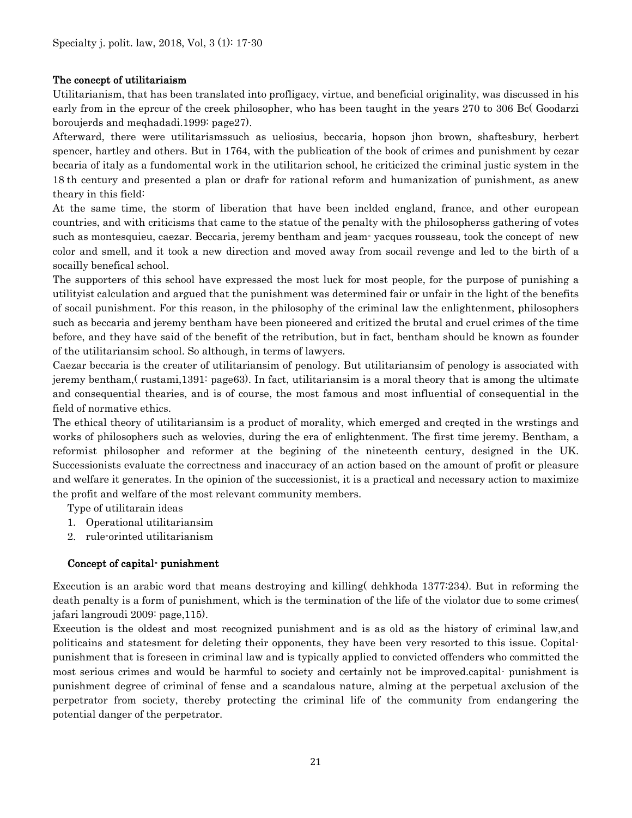#### The conecpt of utilitariaism

Utilitarianism, that has been translated into profligacy, virtue, and beneficial originality, was discussed in his early from in the eprcur of the creek philosopher, who has been taught in the years 270 to 306 Bc( Goodarzi boroujerds and meqhadadi.1999: page27).

Afterward, there were utilitarismssuch as ueliosius, beccaria, hopson jhon brown, shaftesbury, herbert spencer, hartley and others. But in 1764, with the publication of the book of crimes and punishment by cezar becaria of italy as a fundomental work in the utilitarion school, he criticized the criminal justic system in the 18 th century and presented a plan or drafr for rational reform and humanization of punishment, as anew theary in this field:

At the same time, the storm of liberation that have been inclded england, france, and other european countries, and with criticisms that came to the statue of the penalty with the philosopherss gathering of votes such as montesquieu, caezar. Beccaria, jeremy bentham and jeam- yacques rousseau, took the concept of new color and smell, and it took a new direction and moved away from socail revenge and led to the birth of a socailly benefical school.

The supporters of this school have expressed the most luck for most people, for the purpose of punishing a utilityist calculation and argued that the punishment was determined fair or unfair in the light of the benefits of socail punishment. For this reason, in the philosophy of the criminal law the enlightenment, philosophers such as beccaria and jeremy bentham have been pioneered and critized the brutal and cruel crimes of the time before, and they have said of the benefit of the retribution, but in fact, bentham should be known as founder of the utilitariansim school. So although, in terms of lawyers.

Caezar beccaria is the creater of utilitariansim of penology. But utilitariansim of penology is associated with jeremy bentham,( rustami,1391: page63). In fact, utilitariansim is a moral theory that is among the ultimate and consequential thearies, and is of course, the most famous and most influential of consequential in the field of normative ethics.

The ethical theory of utilitariansim is a product of morality, which emerged and creqted in the wrstings and works of philosophers such as welovies, during the era of enlightenment. The first time jeremy. Bentham, a reformist philosopher and reformer at the begining of the nineteenth century, designed in the UK. Successionists evaluate the correctness and inaccuracy of an action based on the amount of profit or pleasure and welfare it generates. In the opinion of the successionist, it is a practical and necessary action to maximize the profit and welfare of the most relevant community members.

Type of utilitarain ideas

- 1. Operational utilitariansim
- 2. rule-orinted utilitarianism

#### Concept of capital- punishment

Execution is an arabic word that means destroying and killing( dehkhoda 1377:234). But in reforming the death penalty is a form of punishment, which is the termination of the life of the violator due to some crimes( jafari langroudi 2009: page,115).

Execution is the oldest and most recognized punishment and is as old as the history of criminal law,and politicains and statesment for deleting their opponents, they have been very resorted to this issue. Copitalpunishment that is foreseen in criminal law and is typically applied to convicted offenders who committed the most serious crimes and would be harmful to society and certainly not be improved.capital- punishment is punishment degree of criminal of fense and a scandalous nature, alming at the perpetual axclusion of the perpetrator from society, thereby protecting the criminal life of the community from endangering the potential danger of the perpetrator.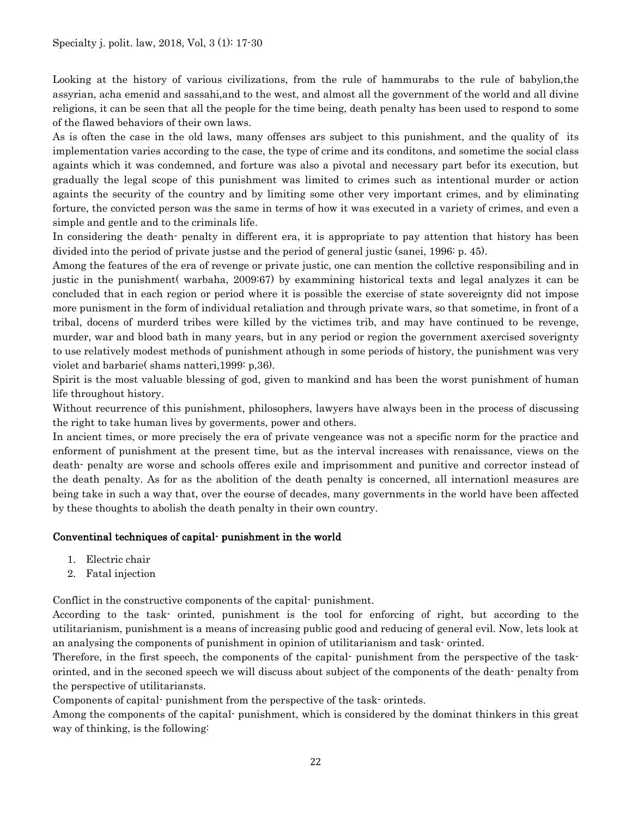Looking at the history of various civilizations, from the rule of hammurabs to the rule of babylion,the assyrian, acha emenid and sassahi,and to the west, and almost all the government of the world and all divine religions, it can be seen that all the people for the time being, death penalty has been used to respond to some of the flawed behaviors of their own laws.

As is often the case in the old laws, many offenses ars subject to this punishment, and the quality of its implementation varies according to the case, the type of crime and its conditons, and sometime the social class againts which it was condemned, and forture was also a pivotal and necessary part befor its execution, but gradually the legal scope of this punishment was limited to crimes such as intentional murder or action againts the security of the country and by limiting some other very important crimes, and by eliminating forture, the convicted person was the same in terms of how it was executed in a variety of crimes, and even a simple and gentle and to the criminals life.

In considering the death- penalty in different era, it is appropriate to pay attention that history has been divided into the period of private justse and the period of general justic (sanei, 1996: p. 45).

Among the features of the era of revenge or private justic, one can mention the collctive responsibiling and in justic in the punishment( warbaha, 2009:67) by exammining historical texts and legal analyzes it can be concluded that in each region or period where it is possible the exercise of state sovereignty did not impose more punisment in the form of individual retaliation and through private wars, so that sometime, in front of a tribal, docens of murderd tribes were killed by the victimes trib, and may have continued to be revenge, murder, war and blood bath in many years, but in any period or region the government axercised soverignty to use relatively modest methods of punishment athough in some periods of history, the punishment was very violet and barbarie( shams natteri,1999: p,36).

Spirit is the most valuable blessing of god, given to mankind and has been the worst punishment of human life throughout history.

Without recurrence of this punishment, philosophers, lawyers have always been in the process of discussing the right to take human lives by goverments, power and others.

In ancient times, or more precisely the era of private vengeance was not a specific norm for the practice and enforment of punishment at the present time, but as the interval increases with renaissance, views on the death- penalty are worse and schools offeres exile and imprisomment and punitive and corrector instead of the death penalty. As for as the abolition of the death penalty is concerned, all internationl measures are being take in such a way that, over the eourse of decades, many governments in the world have been affected by these thoughts to abolish the death penalty in their own country.

#### Conventinal techniques of capital- punishment in the world

- 1. Electric chair
- 2. Fatal injection

Conflict in the constructive components of the capital- punishment.

According to the task- orinted, punishment is the tool for enforcing of right, but according to the utilitarianism, punishment is a means of increasing public good and reducing of general evil. Now, lets look at an analysing the components of punishment in opinion of utilitarianism and task- orinted.

Therefore, in the first speech, the components of the capital- punishment from the perspective of the taskorinted, and in the seconed speech we will discuss about subject of the components of the death- penalty from the perspective of utilitariansts.

Components of capital- punishment from the perspective of the task- orinteds.

Among the components of the capital- punishment, which is considered by the dominat thinkers in this great way of thinking, is the following: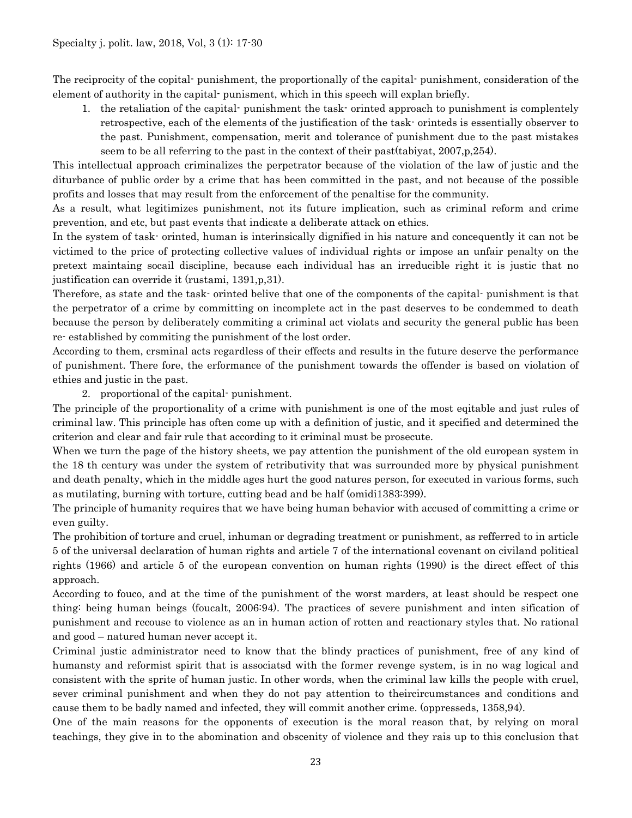The reciprocity of the copital- punishment, the proportionally of the capital- punishment, consideration of the element of authority in the capital- punisment, which in this speech will explan briefly.

1. the retaliation of the capital- punishment the task- orinted approach to punishment is complentely retrospective, each of the elements of the justification of the task- orinteds is essentially observer to the past. Punishment, compensation, merit and tolerance of punishment due to the past mistakes seem to be all referring to the past in the context of their past(tabiyat, 2007,p,254).

This intellectual approach criminalizes the perpetrator because of the violation of the law of justic and the diturbance of public order by a crime that has been committed in the past, and not because of the possible profits and losses that may result from the enforcement of the penaltise for the community.

As a result, what legitimizes punishment, not its future implication, such as criminal reform and crime prevention, and etc, but past events that indicate a deliberate attack on ethics.

In the system of task- orinted, human is interinsically dignified in his nature and concequently it can not be victimed to the price of protecting collective values of individual rights or impose an unfair penalty on the pretext maintaing socail discipline, because each individual has an irreducible right it is justic that no justification can override it (rustami, 1391,p,31).

Therefore, as state and the task- orinted belive that one of the components of the capital- punishment is that the perpetrator of a crime by committing on incomplete act in the past deserves to be condemmed to death because the person by deliberately commiting a criminal act violats and security the general public has been re- established by commiting the punishment of the lost order.

According to them, crsminal acts regardless of their effects and results in the future deserve the performance of punishment. There fore, the erformance of the punishment towards the offender is based on violation of ethies and justic in the past.

2. proportional of the capital- punishment.

The principle of the proportionality of a crime with punishment is one of the most eqitable and just rules of criminal law. This principle has often come up with a definition of justic, and it specified and determined the criterion and clear and fair rule that according to it criminal must be prosecute.

When we turn the page of the history sheets, we pay attention the punishment of the old european system in the 18 th century was under the system of retributivity that was surrounded more by physical punishment and death penalty, which in the middle ages hurt the good natures person, for executed in various forms, such as mutilating, burning with torture, cutting bead and be half (omidi1383:399).

The principle of humanity requires that we have being human behavior with accused of committing a crime or even guilty.

The prohibition of torture and cruel, inhuman or degrading treatment or punishment, as refferred to in article 5 of the universal declaration of human rights and article 7 of the international covenant on civiland political rights (1966) and article 5 of the european convention on human rights (1990) is the direct effect of this approach.

According to fouco, and at the time of the punishment of the worst marders, at least should be respect one thing: being human beings (foucalt, 2006:94). The practices of severe punishment and inten sification of punishment and recouse to violence as an in human action of rotten and reactionary styles that. No rational and good – natured human never accept it.

Criminal justic administrator need to know that the blindy practices of punishment, free of any kind of humansty and reformist spirit that is associatsd with the former revenge system, is in no wag logical and consistent with the sprite of human justic. In other words, when the criminal law kills the people with cruel, sever criminal punishment and when they do not pay attention to theircircumstances and conditions and cause them to be badly named and infected, they will commit another crime. (oppresseds, 1358,94).

One of the main reasons for the opponents of execution is the moral reason that, by relying on moral teachings, they give in to the abomination and obscenity of violence and they rais up to this conclusion that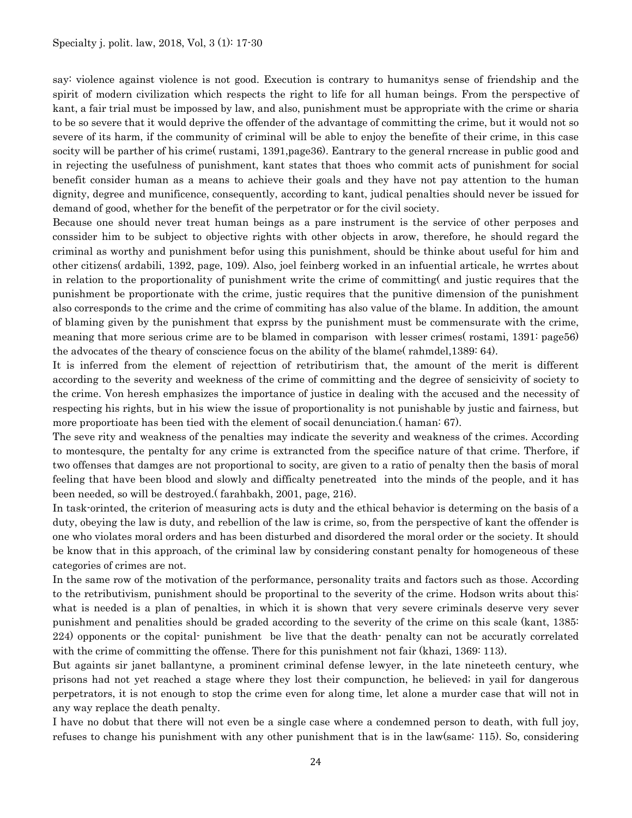say: violence against violence is not good. Execution is contrary to humanitys sense of friendship and the spirit of modern civilization which respects the right to life for all human beings. From the perspective of kant, a fair trial must be impossed by law, and also, punishment must be appropriate with the crime or sharia to be so severe that it would deprive the offender of the advantage of committing the crime, but it would not so severe of its harm, if the community of criminal will be able to enjoy the benefite of their crime, in this case socity will be parther of his crime( rustami, 1391,page36). Eantrary to the general rncrease in public good and in rejecting the usefulness of punishment, kant states that thoes who commit acts of punishment for social benefit consider human as a means to achieve their goals and they have not pay attention to the human dignity, degree and munificence, consequently, according to kant, judical penalties should never be issued for demand of good, whether for the benefit of the perpetrator or for the civil society.

Because one should never treat human beings as a pare instrument is the service of other perposes and conssider him to be subject to objective rights with other objects in arow, therefore, he should regard the criminal as worthy and punishment befor using this punishment, should be thinke about useful for him and other citizens( ardabili, 1392, page, 109). Also, joel feinberg worked in an infuential articale, he wrrtes about in relation to the proportionality of punishment write the crime of committing( and justic requires that the punishment be proportionate with the crime, justic requires that the punitive dimension of the punishment also corresponds to the crime and the crime of commiting has also value of the blame. In addition, the amount of blaming given by the punishment that exprss by the punishment must be commensurate with the crime, meaning that more serious crime are to be blamed in comparison with lesser crimes( rostami, 1391: page56) the advocates of the theary of conscience focus on the ability of the blame( rahmdel,1389: 64).

It is inferred from the element of rejecttion of retributirism that, the amount of the merit is different according to the severity and weekness of the crime of committing and the degree of sensicivity of society to the crime. Von heresh emphasizes the importance of justice in dealing with the accused and the necessity of respecting his rights, but in his wiew the issue of proportionality is not punishable by justic and fairness, but more proportioate has been tied with the element of socail denunciation.( haman: 67).

The seve rity and weakness of the penalties may indicate the severity and weakness of the crimes. According to montesqure, the pentalty for any crime is extrancted from the specifice nature of that crime. Therfore, if two offenses that damges are not proportional to socity, are given to a ratio of penalty then the basis of moral feeling that have been blood and slowly and difficalty penetreated into the minds of the people, and it has been needed, so will be destroyed.( farahbakh, 2001, page, 216).

In task-orinted, the criterion of measuring acts is duty and the ethical behavior is determing on the basis of a duty, obeying the law is duty, and rebellion of the law is crime, so, from the perspective of kant the offender is one who violates moral orders and has been disturbed and disordered the moral order or the society. It should be know that in this approach, of the criminal law by considering constant penalty for homogeneous of these categories of crimes are not.

In the same row of the motivation of the performance, personality traits and factors such as those. According to the retributivism, punishment should be proportinal to the severity of the crime. Hodson writs about this: what is needed is a plan of penalties, in which it is shown that very severe criminals deserve very sever punishment and penalities should be graded according to the severity of the crime on this scale (kant, 1385: 224) opponents or the copital- punishment be live that the death- penalty can not be accuratly correlated with the crime of committing the offense. There for this punishment not fair (khazi, 1369: 113).

But againts sir janet ballantyne, a prominent criminal defense lewyer, in the late nineteeth century, whe prisons had not yet reached a stage where they lost their compunction, he believed; in yail for dangerous perpetrators, it is not enough to stop the crime even for along time, let alone a murder case that will not in any way replace the death penalty.

I have no dobut that there will not even be a single case where a condemned person to death, with full joy, refuses to change his punishment with any other punishment that is in the law(same: 115). So, considering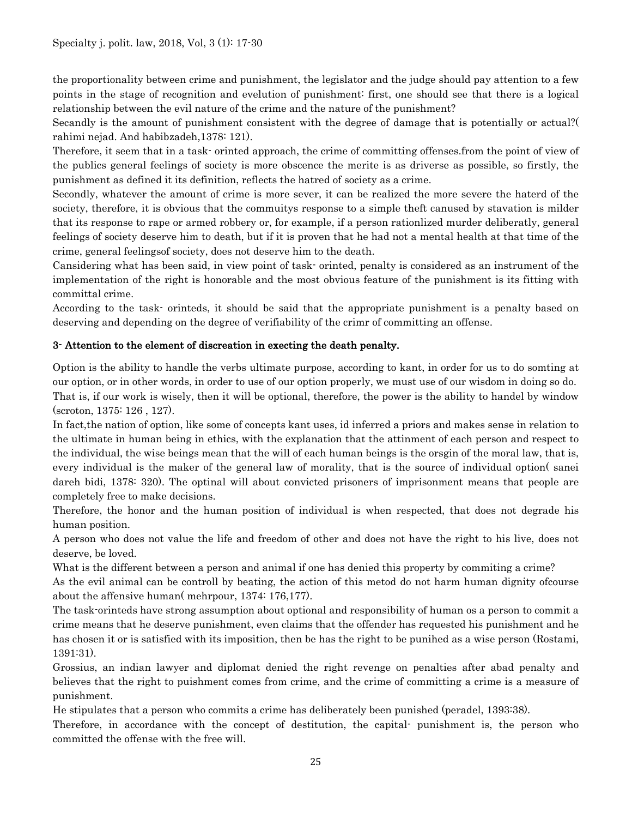the proportionality between crime and punishment, the legislator and the judge should pay attention to a few points in the stage of recognition and evelution of punishment: first, one should see that there is a logical relationship between the evil nature of the crime and the nature of the punishment?

Secandly is the amount of punishment consistent with the degree of damage that is potentially or actual?( rahimi nejad. And habibzadeh,1378: 121).

Therefore, it seem that in a task- orinted approach, the crime of committing offenses.from the point of view of the publics general feelings of society is more obscence the merite is as driverse as possible, so firstly, the punishment as defined it its definition, reflects the hatred of society as a crime.

Secondly, whatever the amount of crime is more sever, it can be realized the more severe the haterd of the society, therefore, it is obvious that the commuitys response to a simple theft canused by stavation is milder that its response to rape or armed robbery or, for example, if a person rationlized murder deliberatly, general feelings of society deserve him to death, but if it is proven that he had not a mental health at that time of the crime, general feelingsof society, does not deserve him to the death.

Cansidering what has been said, in view point of task- orinted, penalty is considered as an instrument of the implementation of the right is honorable and the most obvious feature of the punishment is its fitting with committal crime.

According to the task- orinteds, it should be said that the appropriate punishment is a penalty based on deserving and depending on the degree of verifiability of the crimr of committing an offense.

# 3- Attention to the element of discreation in execting the death penalty.

Option is the ability to handle the verbs ultimate purpose, according to kant, in order for us to do somting at our option, or in other words, in order to use of our option properly, we must use of our wisdom in doing so do. That is, if our work is wisely, then it will be optional, therefore, the power is the ability to handel by window (scroton, 1375: 126 , 127).

In fact,the nation of option, like some of concepts kant uses, id inferred a priors and makes sense in relation to the ultimate in human being in ethics, with the explanation that the attinment of each person and respect to the individual, the wise beings mean that the will of each human beings is the orsgin of the moral law, that is, every individual is the maker of the general law of morality, that is the source of individual option( sanei dareh bidi, 1378: 320). The optinal will about convicted prisoners of imprisonment means that people are completely free to make decisions.

Therefore, the honor and the human position of individual is when respected, that does not degrade his human position.

A person who does not value the life and freedom of other and does not have the right to his live, does not deserve, be loved.

What is the different between a person and animal if one has denied this property by commiting a crime?

As the evil animal can be controll by beating, the action of this metod do not harm human dignity ofcourse about the affensive human( mehrpour, 1374: 176,177).

The task-orinteds have strong assumption about optional and responsibility of human os a person to commit a crime means that he deserve punishment, even claims that the offender has requested his punishment and he has chosen it or is satisfied with its imposition, then be has the right to be punihed as a wise person (Rostami, 1391:31).

Grossius, an indian lawyer and diplomat denied the right revenge on penalties after abad penalty and believes that the right to puishment comes from crime, and the crime of committing a crime is a measure of punishment.

He stipulates that a person who commits a crime has deliberately been punished (peradel, 1393:38).

Therefore, in accordance with the concept of destitution, the capital- punishment is, the person who committed the offense with the free will.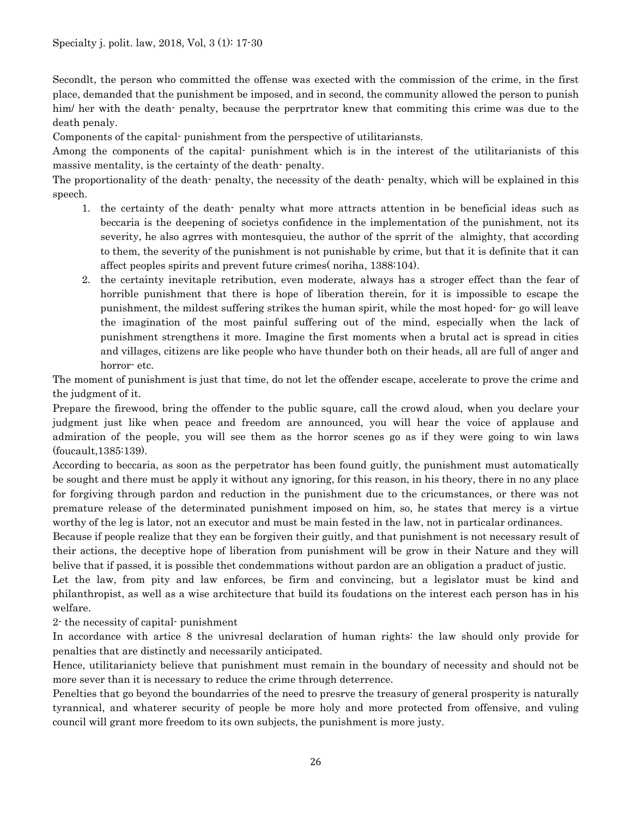Secondlt, the person who committed the offense was exected with the commission of the crime, in the first place, demanded that the punishment be imposed, and in second, the community allowed the person to punish him/ her with the death- penalty, because the perpristion knew that commiting this crime was due to the death penaly.

Components of the capital- punishment from the perspective of utilitariansts.

Among the components of the capital- punishment which is in the interest of the utilitarianists of this massive mentality, is the certainty of the death- penalty.

The proportionality of the death- penalty, the necessity of the death- penalty, which will be explained in this speech.

- 1. the certainty of the death- penalty what more attracts attention in be beneficial ideas such as beccaria is the deepening of societys confidence in the implementation of the punishment, not its severity, he also agrres with montesquieu, the author of the sprrit of the almighty, that according to them, the severity of the punishment is not punishable by crime, but that it is definite that it can affect peoples spirits and prevent future crimes( noriha, 1388:104).
- 2. the certainty inevitaple retribution, even moderate, always has a stroger effect than the fear of horrible punishment that there is hope of liberation therein, for it is impossible to escape the punishment, the mildest suffering strikes the human spirit, while the most hoped- for- go will leave the imagination of the most painful suffering out of the mind, especially when the lack of punishment strengthens it more. Imagine the first moments when a brutal act is spread in cities and villages, citizens are like people who have thunder both on their heads, all are full of anger and horror- etc.

The moment of punishment is just that time, do not let the offender escape, accelerate to prove the crime and the judgment of it.

Prepare the firewood, bring the offender to the public square, call the crowd aloud, when you declare your judgment just like when peace and freedom are announced, you will hear the voice of applause and admiration of the people, you will see them as the horror scenes go as if they were going to win laws (foucault,1385:139).

According to beccaria, as soon as the perpetrator has been found guitly, the punishment must automatically be sought and there must be apply it without any ignoring, for this reason, in his theory, there in no any place for forgiving through pardon and reduction in the punishment due to the cricumstances, or there was not premature release of the determinated punishment imposed on him, so, he states that mercy is a virtue worthy of the leg is lator, not an executor and must be main fested in the law, not in particalar ordinances.

Because if people realize that they ean be forgiven their guitly, and that punishment is not necessary result of their actions, the deceptive hope of liberation from punishment will be grow in their Nature and they will belive that if passed, it is possible thet condemmations without pardon are an obligation a praduct of justic.

Let the law, from pity and law enforces, be firm and convincing, but a legislator must be kind and philanthropist, as well as a wise architecture that build its foudations on the interest each person has in his welfare.

2- the necessity of capital- punishment

In accordance with artice 8 the univresal declaration of human rights: the law should only provide for penalties that are distinctly and necessarily anticipated.

Hence, utilitarianicty believe that punishment must remain in the boundary of necessity and should not be more sever than it is necessary to reduce the crime through deterrence.

Penelties that go beyond the boundarries of the need to presrve the treasury of general prosperity is naturally tyrannical, and whaterer security of people be more holy and more protected from offensive, and vuling council will grant more freedom to its own subjects, the punishment is more justy.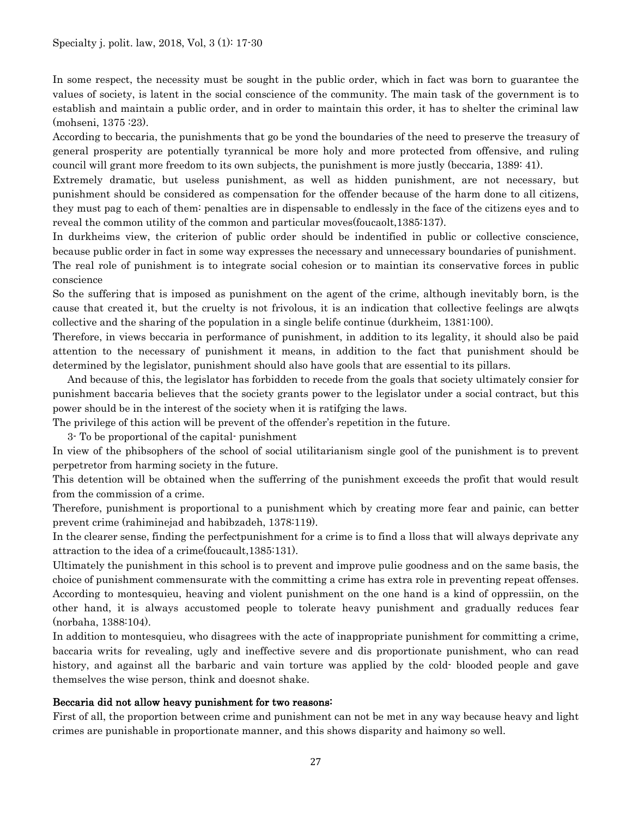In some respect, the necessity must be sought in the public order, which in fact was born to guarantee the values of society, is latent in the social conscience of the community. The main task of the government is to establish and maintain a public order, and in order to maintain this order, it has to shelter the criminal law (mohseni, 1375 :23).

According to beccaria, the punishments that go be yond the boundaries of the need to preserve the treasury of general prosperity are potentially tyrannical be more holy and more protected from offensive, and ruling council will grant more freedom to its own subjects, the punishment is more justly (beccaria, 1389: 41).

Extremely dramatic, but useless punishment, as well as hidden punishment, are not necessary, but punishment should be considered as compensation for the offender because of the harm done to all citizens, they must pag to each of them: penalties are in dispensable to endlessly in the face of the citizens eyes and to reveal the common utility of the common and particular moves(foucaolt,1385:137).

In durkheims view, the criterion of public order should be indentified in public or collective conscience, because public order in fact in some way expresses the necessary and unnecessary boundaries of punishment.

The real role of punishment is to integrate social cohesion or to maintian its conservative forces in public conscience

So the suffering that is imposed as punishment on the agent of the crime, although inevitably born, is the cause that created it, but the cruelty is not frivolous, it is an indication that collective feelings are alwqts collective and the sharing of the population in a single belife continue (durkheim, 1381:100).

Therefore, in views beccaria in performance of punishment, in addition to its legality, it should also be paid attention to the necessary of punishment it means, in addition to the fact that punishment should be determined by the legislator, punishment should also have gools that are essential to its pillars.

And because of this, the legislator has forbidden to recede from the goals that society ultimately consier for punishment baccaria believes that the society grants power to the legislator under a social contract, but this power should be in the interest of the society when it is ratifging the laws.

The privilege of this action will be prevent of the offender's repetition in the future.

3- To be proportional of the capital- punishment

In view of the phibsophers of the school of social utilitarianism single gool of the punishment is to prevent perpetretor from harming society in the future.

This detention will be obtained when the sufferring of the punishment exceeds the profit that would result from the commission of a crime.

Therefore, punishment is proportional to a punishment which by creating more fear and painic, can better prevent crime (rahiminejad and habibzadeh, 1378:119).

In the clearer sense, finding the perfectpunishment for a crime is to find a lloss that will always deprivate any attraction to the idea of a crime(foucault,1385:131).

Ultimately the punishment in this school is to prevent and improve pulie goodness and on the same basis, the choice of punishment commensurate with the committing a crime has extra role in preventing repeat offenses. According to montesquieu, heaving and violent punishment on the one hand is a kind of oppressiin, on the other hand, it is always accustomed people to tolerate heavy punishment and gradually reduces fear (norbaha, 1388:104).

In addition to montesquieu, who disagrees with the acte of inappropriate punishment for committing a crime, baccaria writs for revealing, ugly and ineffective severe and dis proportionate punishment, who can read history, and against all the barbaric and vain torture was applied by the cold- blooded people and gave themselves the wise person, think and doesnot shake.

#### Beccaria did not allow heavy punishment for two reasons:

First of all, the proportion between crime and punishment can not be met in any way because heavy and light crimes are punishable in proportionate manner, and this shows disparity and haimony so well.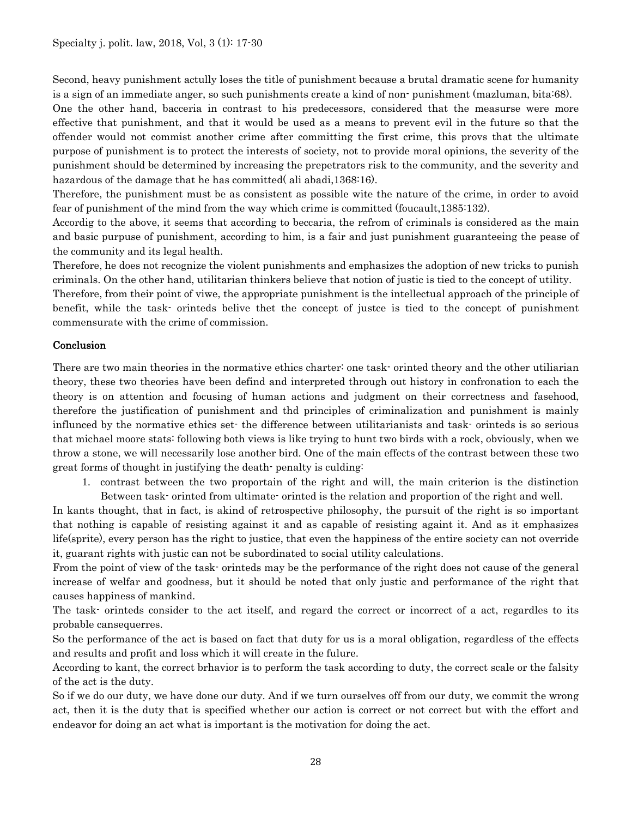Second, heavy punishment actully loses the title of punishment because a brutal dramatic scene for humanity is a sign of an immediate anger, so such punishments create a kind of non- punishment (mazluman, bita:68).

One the other hand, bacceria in contrast to his predecessors, considered that the measurse were more effective that punishment, and that it would be used as a means to prevent evil in the future so that the offender would not commist another crime after committing the first crime, this provs that the ultimate purpose of punishment is to protect the interests of society, not to provide moral opinions, the severity of the punishment should be determined by increasing the prepetrators risk to the community, and the severity and hazardous of the damage that he has committed (ali abadi, 1368:16).

Therefore, the punishment must be as consistent as possible wite the nature of the crime, in order to avoid fear of punishment of the mind from the way which crime is committed (foucault,1385:132).

Accordig to the above, it seems that according to beccaria, the refrom of criminals is considered as the main and basic purpuse of punishment, according to him, is a fair and just punishment guaranteeing the pease of the community and its legal health.

Therefore, he does not recognize the violent punishments and emphasizes the adoption of new tricks to punish criminals. On the other hand, utilitarian thinkers believe that notion of justic is tied to the concept of utility.

Therefore, from their point of viwe, the appropriate punishment is the intellectual approach of the principle of benefit, while the task- orinteds belive thet the concept of justce is tied to the concept of punishment commensurate with the crime of commission.

## Conclusion

There are two main theories in the normative ethics charter: one task- orinted theory and the other utiliarian theory, these two theories have been defind and interpreted through out history in confronation to each the theory is on attention and focusing of human actions and judgment on their correctness and fasehood, therefore the justification of punishment and thd principles of criminalization and punishment is mainly influnced by the normative ethics set- the difference between utilitarianists and task- orinteds is so serious that michael moore stats: following both views is like trying to hunt two birds with a rock, obviously, when we throw a stone, we will necessarily lose another bird. One of the main effects of the contrast between these two great forms of thought in justifying the death- penalty is culding:

1. contrast between the two proportain of the right and will, the main criterion is the distinction Between task- orinted from ultimate- orinted is the relation and proportion of the right and well.

In kants thought, that in fact, is akind of retrospective philosophy, the pursuit of the right is so important that nothing is capable of resisting against it and as capable of resisting againt it. And as it emphasizes life(sprite), every person has the right to justice, that even the happiness of the entire society can not override it, guarant rights with justic can not be subordinated to social utility calculations.

From the point of view of the task- orinteds may be the performance of the right does not cause of the general increase of welfar and goodness, but it should be noted that only justic and performance of the right that causes happiness of mankind.

The task- orinteds consider to the act itself, and regard the correct or incorrect of a act, regardles to its probable cansequerres.

So the performance of the act is based on fact that duty for us is a moral obligation, regardless of the effects and results and profit and loss which it will create in the fulure.

According to kant, the correct brhavior is to perform the task according to duty, the correct scale or the falsity of the act is the duty.

So if we do our duty, we have done our duty. And if we turn ourselves off from our duty, we commit the wrong act, then it is the duty that is specified whether our action is correct or not correct but with the effort and endeavor for doing an act what is important is the motivation for doing the act.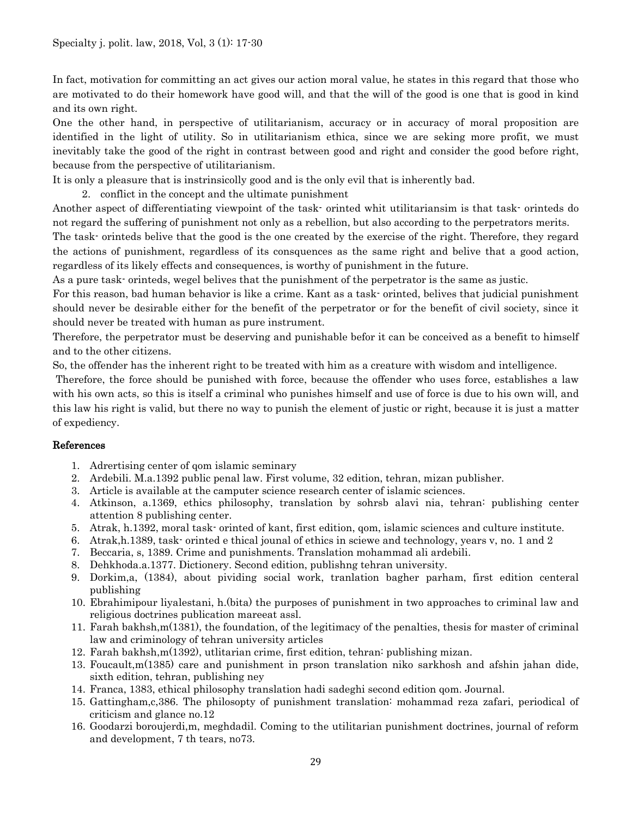In fact, motivation for committing an act gives our action moral value, he states in this regard that those who are motivated to do their homework have good will, and that the will of the good is one that is good in kind and its own right.

One the other hand, in perspective of utilitarianism, accuracy or in accuracy of moral proposition are identified in the light of utility. So in utilitarianism ethica, since we are seking more profit, we must inevitably take the good of the right in contrast between good and right and consider the good before right, because from the perspective of utilitarianism.

It is only a pleasure that is instrinsicolly good and is the only evil that is inherently bad.

2. conflict in the concept and the ultimate punishment

Another aspect of differentiating viewpoint of the task- orinted whit utilitariansim is that task- orinteds do not regard the suffering of punishment not only as a rebellion, but also according to the perpetrators merits.

The task- orinteds belive that the good is the one created by the exercise of the right. Therefore, they regard the actions of punishment, regardless of its consquences as the same right and belive that a good action, regardless of its likely effects and consequences, is worthy of punishment in the future.

As a pure task- orinteds, wegel belives that the punishment of the perpetrator is the same as justic.

For this reason, bad human behavior is like a crime. Kant as a task- orinted, belives that judicial punishment should never be desirable either for the benefit of the perpetrator or for the benefit of civil society, since it should never be treated with human as pure instrument.

Therefore, the perpetrator must be deserving and punishable befor it can be conceived as a benefit to himself and to the other citizens.

So, the offender has the inherent right to be treated with him as a creature with wisdom and intelligence.

Therefore, the force should be punished with force, because the offender who uses force, establishes a law with his own acts, so this is itself a criminal who punishes himself and use of force is due to his own will, and this law his right is valid, but there no way to punish the element of justic or right, because it is just a matter of expediency.

#### References

- 1. Adrertising center of qom islamic seminary
- 2. Ardebili. M.a.1392 public penal law. First volume, 32 edition, tehran, mizan publisher.
- 3. Article is available at the camputer science research center of islamic sciences.
- 4. Atkinson, a.1369, ethics philosophy, translation by sohrsb alavi nia, tehran: publishing center attention 8 publishing center.
- 5. Atrak, h.1392, moral task- orinted of kant, first edition, qom, islamic sciences and culture institute.
- 6. Atrak,h.1389, task- orinted e thical jounal of ethics in sciewe and technology, years v, no. 1 and 2
- 7. Beccaria, s, 1389. Crime and punishments. Translation mohammad ali ardebili.
- 8. Dehkhoda.a.1377. Dictionery. Second edition, publishng tehran university.
- 9. Dorkim,a, (1384), about pividing social work, tranlation bagher parham, first edition centeral publishing
- 10. Ebrahimipour liyalestani, h.(bita) the purposes of punishment in two approaches to criminal law and religious doctrines publication mareeat assl.
- 11. Farah bakhsh,m(1381), the foundation, of the legitimacy of the penalties, thesis for master of criminal law and criminology of tehran university articles
- 12. Farah bakhsh,m(1392), utlitarian crime, first edition, tehran: publishing mizan.
- 13. Foucault,m(1385) care and punishment in prson translation niko sarkhosh and afshin jahan dide, sixth edition, tehran, publishing ney
- 14. Franca, 1383, ethical philosophy translation hadi sadeghi second edition qom. Journal.
- 15. Gattingham,c,386. The philosopty of punishment translation: mohammad reza zafari, periodical of criticism and glance no.12
- 16. Goodarzi boroujerdi,m, meghdadil. Coming to the utilitarian punishment doctrines, journal of reform and development, 7 th tears, no73.